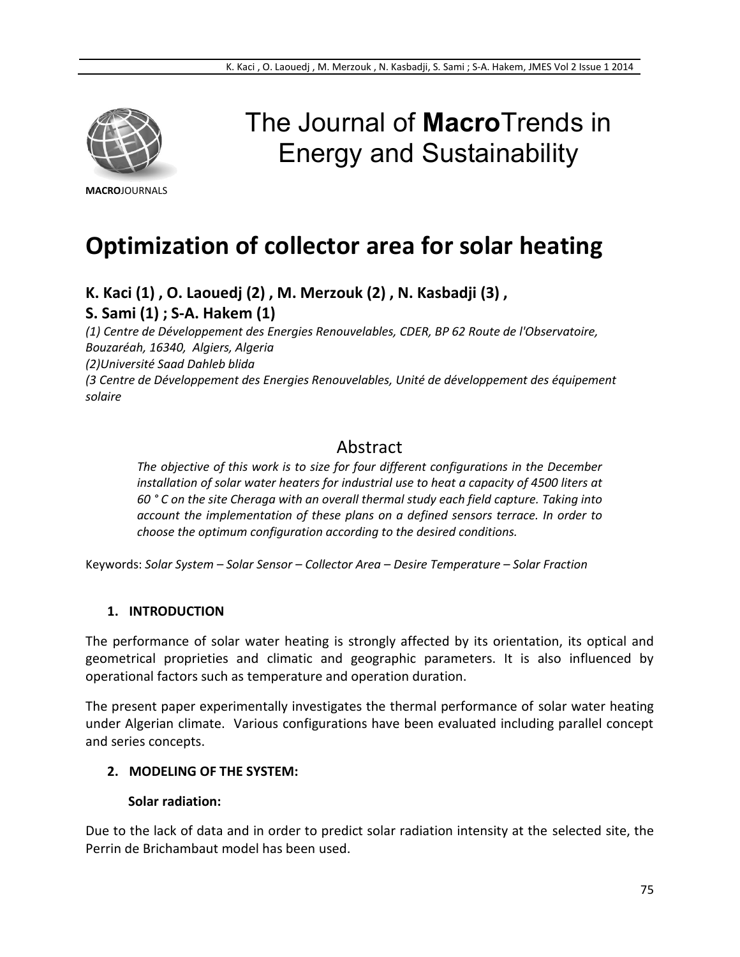

# The Journal of **Macro**Trends in Energy and Sustainability

**MACRO**JOURNALS

## **Optimization of collector area for solar heating**

**K. Kaci (1) , O. Laouedj (2) , M. Merzouk (2) , N. Kasbadji (3) ,**

**S. Sami (1) ; S-A. Hakem (1)**

*(1) Centre de Développement des Energies Renouvelables, CDER, BP 62 Route de l'Observatoire, Bouzaréah, 16340, Algiers, Algeria (2)Université Saad Dahleb blida (3 Centre de Développement des Energies Renouvelables, Unité de développement des équipement solaire*

## Abstract

*The objective of this work is to size for four different configurations in the December installation of solar water heaters for industrial use to heat a capacity of 4500 liters at 60 ° C on the site Cheraga with an overall thermal study each field capture. Taking into account the implementation of these plans on a defined sensors terrace. In order to choose the optimum configuration according to the desired conditions.*

Keywords: *Solar System – Solar Sensor – Collector Area – Desire Temperature – Solar Fraction*

## **1. INTRODUCTION**

The performance of solar water heating is strongly affected by its orientation, its optical and geometrical proprieties and climatic and geographic parameters. It is also influenced by operational factors such as temperature and operation duration.

The present paper experimentally investigates the thermal performance of solar water heating under Algerian climate. Various configurations have been evaluated including parallel concept and series concepts.

## **2. MODELING OF THE SYSTEM:**

## **Solar radiation:**

Due to the lack of data and in order to predict solar radiation intensity at the selected site, the Perrin de Brichambaut model has been used.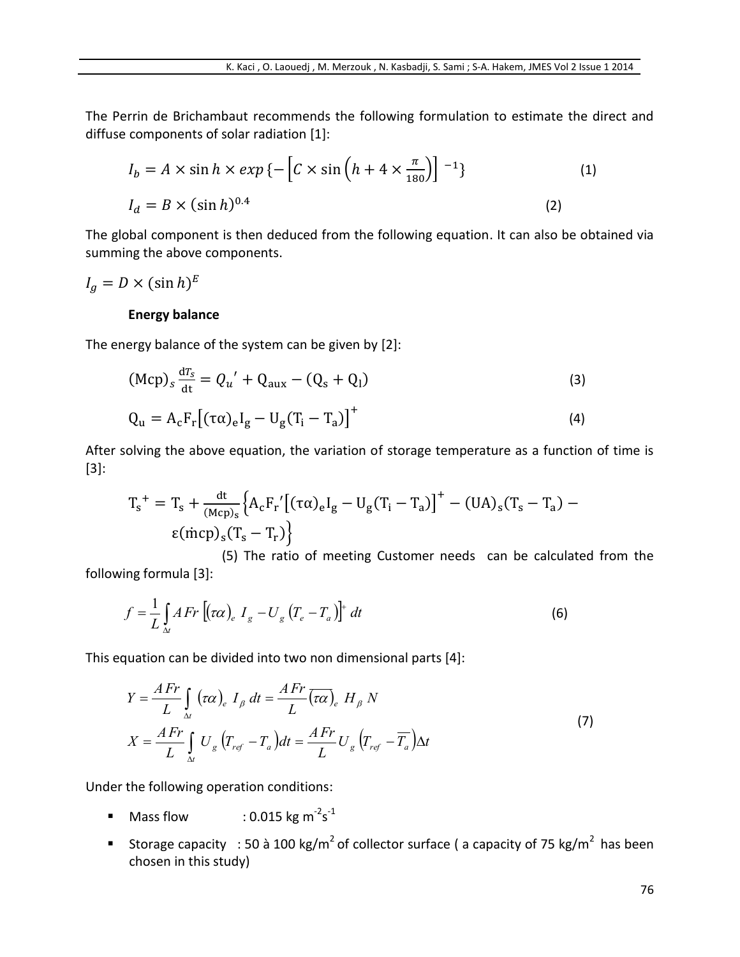The Perrin de Brichambaut recommends the following formulation to estimate the direct and diffuse components of solar radiation [1]:

$$
I_b = A \times \sin h \times exp \{-\left[C \times \sin \left(h + 4 \times \frac{\pi}{180}\right)\right]^{-1}\}\
$$
\n
$$
I_d = B \times (\sin h)^{0.4}
$$
\n(1)

The global component is then deduced from the following equation. It can also be obtained via summing the above components.

 $I_g = D \times (\sin h)^E$ 

#### **Energy balance**

The energy balance of the system can be given by [2]:

$$
(Mcp)s \frac{dT_s}{dt} = Q_u' + Q_{aux} - (Q_s + Q_l)
$$
\n
$$
Q_u = A_c F_r [(\tau \alpha)_e I_g - U_g (T_i - T_a)]^+
$$
\n(4)

After solving the above equation, the variation of storage temperature as a function of time is [3]:

$$
T_s^+ = T_s + \frac{dt}{(Mcp)_s} \Big\{ A_c F_r' \big[ (\tau \alpha)_e I_g - U_g (T_i - T_a) \big]^+ - (UA)_s (T_s - T_a) - \epsilon (\dot{m}cp)_s (T_s - T_r) \Big\}
$$

 (5) The ratio of meeting Customer needs can be calculated from the following formula [3]:

$$
f = \frac{1}{L} \int_{\Delta t} AFr \left[ (\tau \alpha)_e I_g - U_g \left( T_e - T_a \right) \right]^+ dt \tag{6}
$$

This equation can be divided into two non dimensional parts [4]:

$$
Y = \frac{AFr}{L} \int_{\Delta t} (\tau \alpha)_e I_\beta dt = \frac{AFr}{L} (\overline{\tau \alpha})_e H_\beta N
$$
  

$$
X = \frac{AFr}{L} \int_{\Delta t} U_g (T_{ref} - T_a) dt = \frac{AFr}{L} U_g (T_{ref} - \overline{T_a}) \Delta t
$$
 (7)

Under the following operation conditions:

- $\blacksquare$  Mass flow  $s^{\text{-}1}$
- Storage capacity : 50 à 100 kg/m<sup>2</sup> of collector surface ( a capacity of 75 kg/m<sup>2</sup> has been chosen in this study)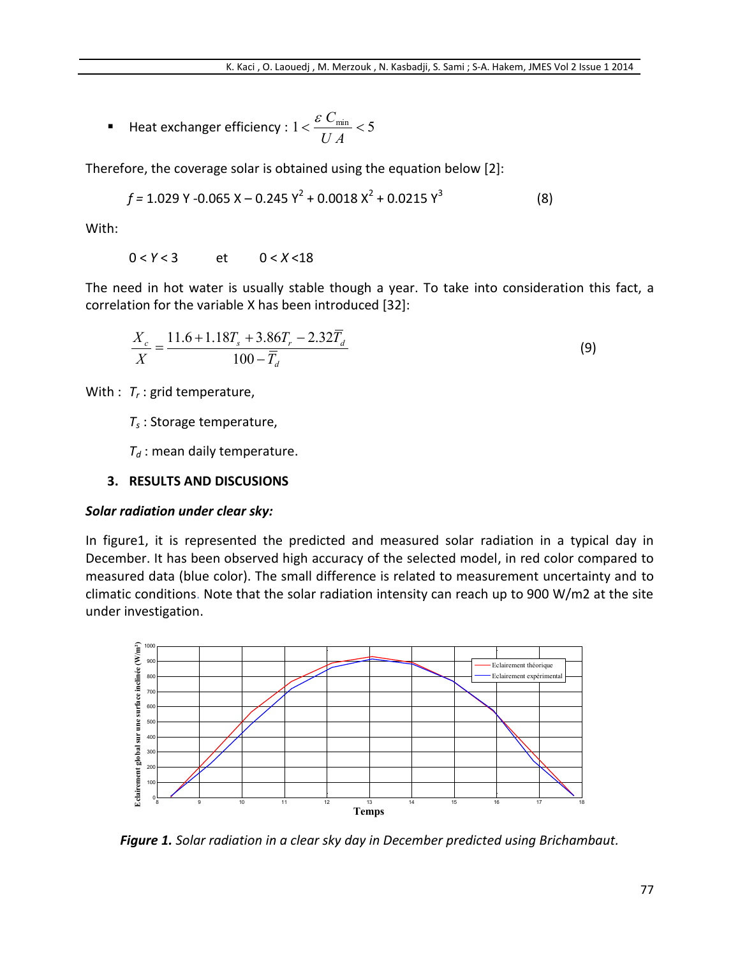Heat exchanger efficiency : 1 5 min *U A C*

Therefore, the coverage solar is obtained using the equation below [2]:

$$
f = 1.029 \text{ Y} - 0.065 \text{ X} - 0.245 \text{ Y}^2 + 0.0018 \text{ X}^2 + 0.0215 \text{ Y}^3 \tag{8}
$$

With:

0 < *Y* < 3 et 0 < *X* <18

The need in hot water is usually stable though a year. To take into consideration this fact, a correlation for the variable X has been introduced [32]:

$$
\frac{X_c}{X} = \frac{11.6 + 1.18T_s + 3.86T_r - 2.32\overline{T_d}}{100 - \overline{T_d}}
$$
\n(9)

With :  $T_r$  : grid temperature,

*T<sup>s</sup>* : Storage temperature,

*T<sup>d</sup>* : mean daily temperature.

#### **3. RESULTS AND DISCUSIONS**

#### *Solar radiation under clear sky:*

In figure1, it is represented the predicted and measured solar radiation in a typical day in December. It has been observed high accuracy of the selected model, in red color compared to measured data (blue color). The small difference is related to measurement uncertainty and to climatic conditions. Note that the solar radiation intensity can reach up to 900 W/m2 at the site under investigation.



*Figure 1. Solar radiation in a clear sky day in December predicted using Brichambaut.*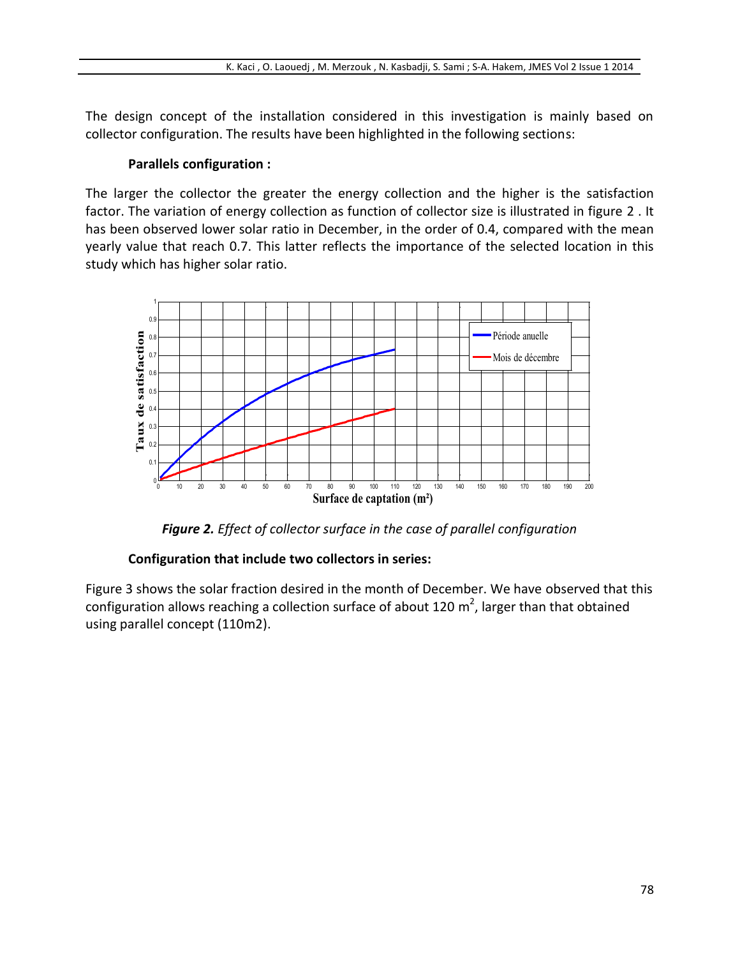The design concept of the installation considered in this investigation is mainly based on collector configuration. The results have been highlighted in the following sections:

#### **Parallels configuration :**

The larger the collector the greater the energy collection and the higher is the satisfaction factor. The variation of energy collection as function of collector size is illustrated in figure 2 . It has been observed lower solar ratio in December, in the order of 0.4, compared with the mean yearly value that reach 0.7. This latter reflects the importance of the selected location in this study which has higher solar ratio.



*Figure 2. Effect of collector surface in the case of parallel configuration* 

## **Configuration that include two collectors in series:**

Figure 3 shows the solar fraction desired in the month of December. We have observed that this configuration allows reaching a collection surface of about 120  $m^2$ , larger than that obtained using parallel concept (110m2).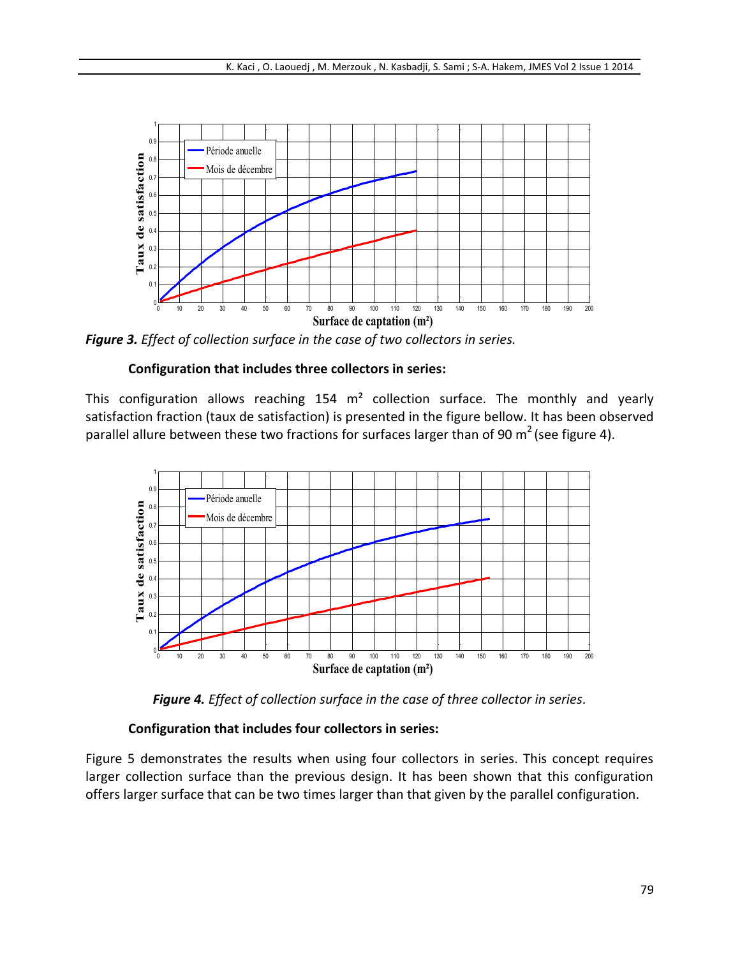

*Figure 3. Effect of collection surface in the case of two collectors in series.*

## **Configuration that includes three collectors in series:**

This configuration allows reaching  $154 \, \text{m}^2$  collection surface. The monthly and yearly satisfaction fraction (taux de satisfaction) is presented in the figure bellow. It has been observed parallel allure between these two fractions for surfaces larger than of 90  $m^2$  (see figure 4).



*Figure 4. Effect of collection surface in the case of three collector in series.*

## **Configuration that includes four collectors in series:**

Figure 5 demonstrates the results when using four collectors in series. This concept requires larger collection surface than the previous design. It has been shown that this configuration offers larger surface that can be two times larger than that given by the parallel configuration.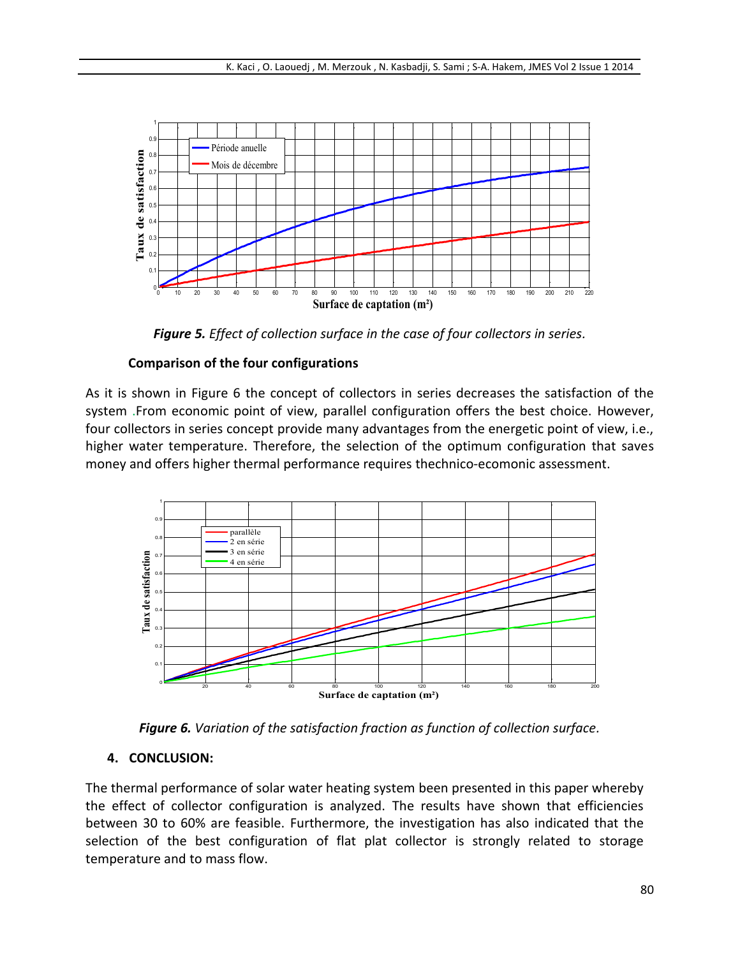

*Figure 5. Effect of collection surface in the case of four collectors in series.*

## **Comparison of the four configurations**

As it is shown in Figure 6 the concept of collectors in series decreases the satisfaction of the system .From economic point of view, parallel configuration offers the best choice. However, four collectors in series concept provide many advantages from the energetic point of view, i.e., higher water temperature. Therefore, the selection of the optimum configuration that saves money and offers higher thermal performance requires thechnico-ecomonic assessment.



*Figure 6. Variation of the satisfaction fraction as function of collection surface.*

## **4. CONCLUSION:**

The thermal performance of solar water heating system been presented in this paper whereby the effect of collector configuration is analyzed. The results have shown that efficiencies between 30 to 60% are feasible. Furthermore, the investigation has also indicated that the selection of the best configuration of flat plat collector is strongly related to storage temperature and to mass flow.